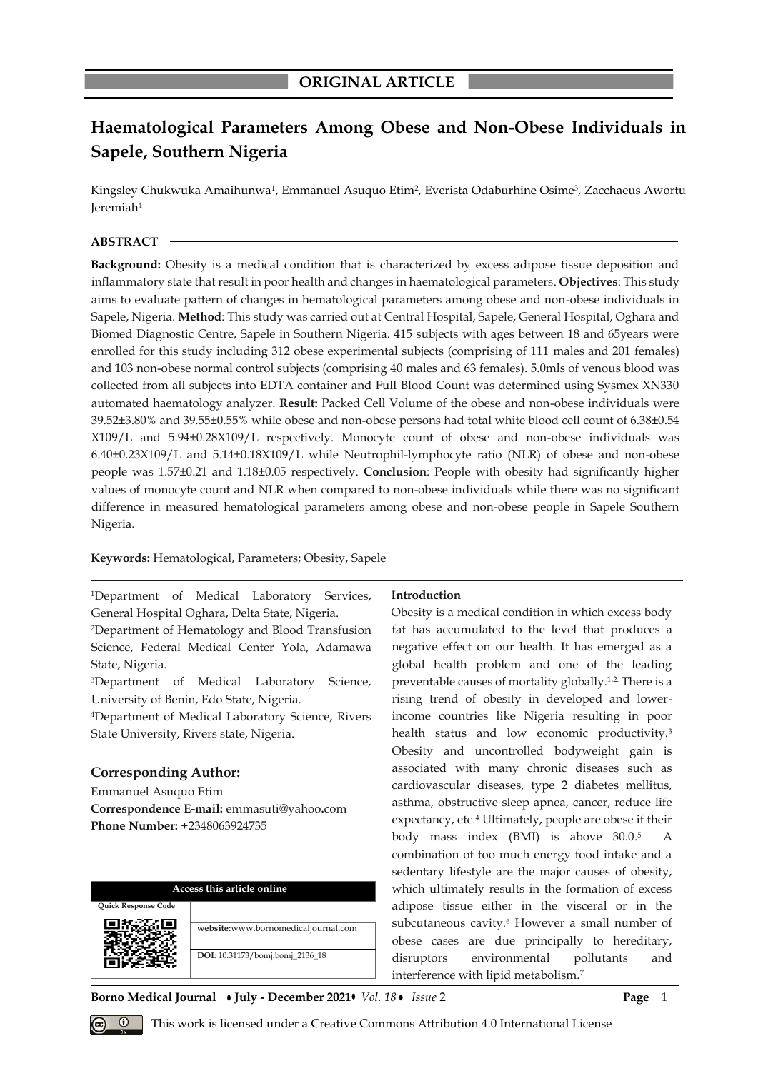# **Haematological Parameters Among Obese and Non-Obese Individuals in Sapele, Southern Nigeria**

Kingsley Chukwuka Amaihunwa<sup>1</sup>, Emmanuel Asuquo Etim<sup>2</sup>, Everista Odaburhine Osime<sup>3</sup>, Zacchaeus Awortu Jeremiah<sup>4</sup>

# **ABSTRACT**

**Background:** Obesity is a medical condition that is characterized by excess adipose tissue deposition and inflammatory state that result in poor health and changes in haematological parameters. **Objectives**: This study aims to evaluate pattern of changes in hematological parameters among obese and non-obese individuals in Sapele, Nigeria. **Method**: This study was carried out at Central Hospital, Sapele, General Hospital, Oghara and Biomed Diagnostic Centre, Sapele in Southern Nigeria. 415 subjects with ages between 18 and 65years were enrolled for this study including 312 obese experimental subjects (comprising of 111 males and 201 females) and 103 non-obese normal control subjects (comprising 40 males and 63 females). 5.0mls of venous blood was collected from all subjects into EDTA container and Full Blood Count was determined using Sysmex XN330 automated haematology analyzer. **Result:** Packed Cell Volume of the obese and non-obese individuals were 39.52±3.80% and 39.55±0.55% while obese and non-obese persons had total white blood cell count of 6.38±0.54 X109/L and 5.94±0.28X109/L respectively. Monocyte count of obese and non-obese individuals was 6.40±0.23X109/L and 5.14±0.18X109/L while Neutrophil-lymphocyte ratio (NLR) of obese and non-obese people was 1.57±0.21 and 1.18±0.05 respectively. **Conclusion**: People with obesity had significantly higher values of monocyte count and NLR when compared to non-obese individuals while there was no significant difference in measured hematological parameters among obese and non-obese people in Sapele Southern Nigeria.

# **Keywords:** Hematological, Parameters; Obesity, Sapele

<sup>1</sup>Department of Medical Laboratory Services, General Hospital Oghara, Delta State, Nigeria. <sup>2</sup>Department of Hematology and Blood Transfusion Science, Federal Medical Center Yola, Adamawa State, Nigeria.

<sup>3</sup>Department of Medical Laboratory Science, University of Benin, Edo State, Nigeria.

<sup>4</sup>Department of Medical Laboratory Science, Rivers State University, Rivers state, Nigeria.

# **Corresponding Author:**

Emmanuel Asuquo Etim **Correspondence E-mail:** emmasuti@yahoo**.**com **Phone Number: +**2348063924735

| Access this article online |                                     |  |  |  |  |
|----------------------------|-------------------------------------|--|--|--|--|
| <b>Ouick Response Code</b> |                                     |  |  |  |  |
|                            | website:www.bornomedicaljournal.com |  |  |  |  |
|                            | DOI: 10.31173/bomj.bomj_2136_18     |  |  |  |  |

#### **Introduction**

Obesity is a medical condition in which excess body fat has accumulated to the level that produces a negative effect on our health. It has emerged as a global health problem and one of the leading preventable causes of mortality globally.1,2. There is a rising trend of obesity in developed and lowerincome countries like Nigeria resulting in poor health status and low economic productivity.<sup>3</sup> Obesity and uncontrolled bodyweight gain is associated with many chronic diseases such as cardiovascular diseases, type 2 diabetes mellitus, asthma, obstructive sleep apnea, cancer, reduce life expectancy, etc.<sup>4</sup> Ultimately, people are obese if their body mass index (BMI) is above 30.0. 5 A combination of too much energy food intake and a sedentary lifestyle are the major causes of obesity, which ultimately results in the formation of excess adipose tissue either in the visceral or in the subcutaneous cavity.<sup>6</sup> However a small number of obese cases are due principally to hereditary, disruptors environmental pollutants and interference with lipid metabolism.<sup>7</sup>

**Borno Medical Journal • July - December 2021 •** *Vol.* 18 • Issue 2 **Page** | 1



*Q* This work is licensed under a Creative Commons Attribution 4.0 International License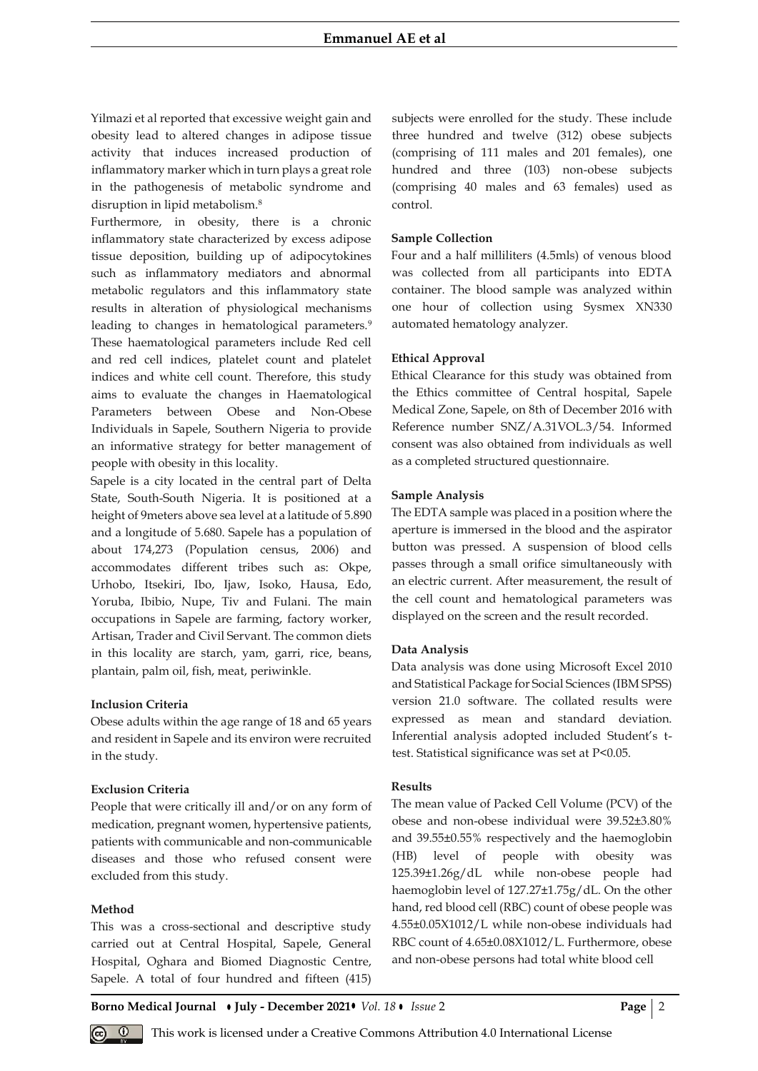Yilmazi et al reported that excessive weight gain and obesity lead to altered changes in adipose tissue activity that induces increased production of inflammatory marker which in turn plays a great role in the pathogenesis of metabolic syndrome and disruption in lipid metabolism.<sup>8</sup>

Furthermore, in obesity, there is a chronic inflammatory state characterized by excess adipose tissue deposition, building up of adipocytokines such as inflammatory mediators and abnormal metabolic regulators and this inflammatory state results in alteration of physiological mechanisms leading to changes in hematological parameters.<sup>9</sup> These haematological parameters include Red cell and red cell indices, platelet count and platelet indices and white cell count. Therefore, this study aims to evaluate the changes in Haematological Parameters between Obese and Non-Obese Individuals in Sapele, Southern Nigeria to provide an informative strategy for better management of people with obesity in this locality.

Sapele is a city located in the central part of Delta State, South-South Nigeria. It is positioned at a height of 9meters above sea level at a latitude of 5.890 and a longitude of 5.680. Sapele has a population of about 174,273 (Population census, 2006) and accommodates different tribes such as: Okpe, Urhobo, Itsekiri, Ibo, Ijaw, Isoko, Hausa, Edo, Yoruba, Ibibio, Nupe, Tiv and Fulani. The main occupations in Sapele are farming, factory worker, Artisan, Trader and Civil Servant. The common diets in this locality are starch, yam, garri, rice, beans, plantain, palm oil, fish, meat, periwinkle.

## **Inclusion Criteria**

Obese adults within the age range of 18 and 65 years and resident in Sapele and its environ were recruited in the study.

### **Exclusion Criteria**

People that were critically ill and/or on any form of medication, pregnant women, hypertensive patients, patients with communicable and non-communicable diseases and those who refused consent were excluded from this study.

#### **Method**

This was a cross-sectional and descriptive study carried out at Central Hospital, Sapele, General Hospital, Oghara and Biomed Diagnostic Centre, Sapele. A total of four hundred and fifteen (415) subjects were enrolled for the study. These include three hundred and twelve (312) obese subjects (comprising of 111 males and 201 females), one hundred and three (103) non-obese subjects (comprising 40 males and 63 females) used as control.

#### **Sample Collection**

Four and a half milliliters (4.5mls) of venous blood was collected from all participants into EDTA container. The blood sample was analyzed within one hour of collection using Sysmex XN330 automated hematology analyzer.

#### **Ethical Approval**

Ethical Clearance for this study was obtained from the Ethics committee of Central hospital, Sapele Medical Zone, Sapele, on 8th of December 2016 with Reference number SNZ/A.31VOL.3/54. Informed consent was also obtained from individuals as well as a completed structured questionnaire.

#### **Sample Analysis**

The EDTA sample was placed in a position where the aperture is immersed in the blood and the aspirator button was pressed. A suspension of blood cells passes through a small orifice simultaneously with an electric current. After measurement, the result of the cell count and hematological parameters was displayed on the screen and the result recorded.

## **Data Analysis**

Data analysis was done using Microsoft Excel 2010 and Statistical Package for Social Sciences (IBM SPSS) version 21.0 software. The collated results were expressed as mean and standard deviation. Inferential analysis adopted included Student's ttest. Statistical significance was set at P<0.05.

# **Results**

The mean value of Packed Cell Volume (PCV) of the obese and non-obese individual were 39.52±3.80% and 39.55±0.55% respectively and the haemoglobin (HB) level of people with obesity was 125.39±1.26g/dL while non-obese people had haemoglobin level of 127.27±1.75g/dL. On the other hand, red blood cell (RBC) count of obese people was 4.55±0.05X1012/L while non-obese individuals had RBC count of 4.65±0.08X1012/L. Furthermore, obese and non-obese persons had total white blood cell

**Borno Medical Journal July - December 2021** *Vol. 18 Issue* 2 **Page** 2

This work is licensed under a Creative Commons Attribution 4.0 International License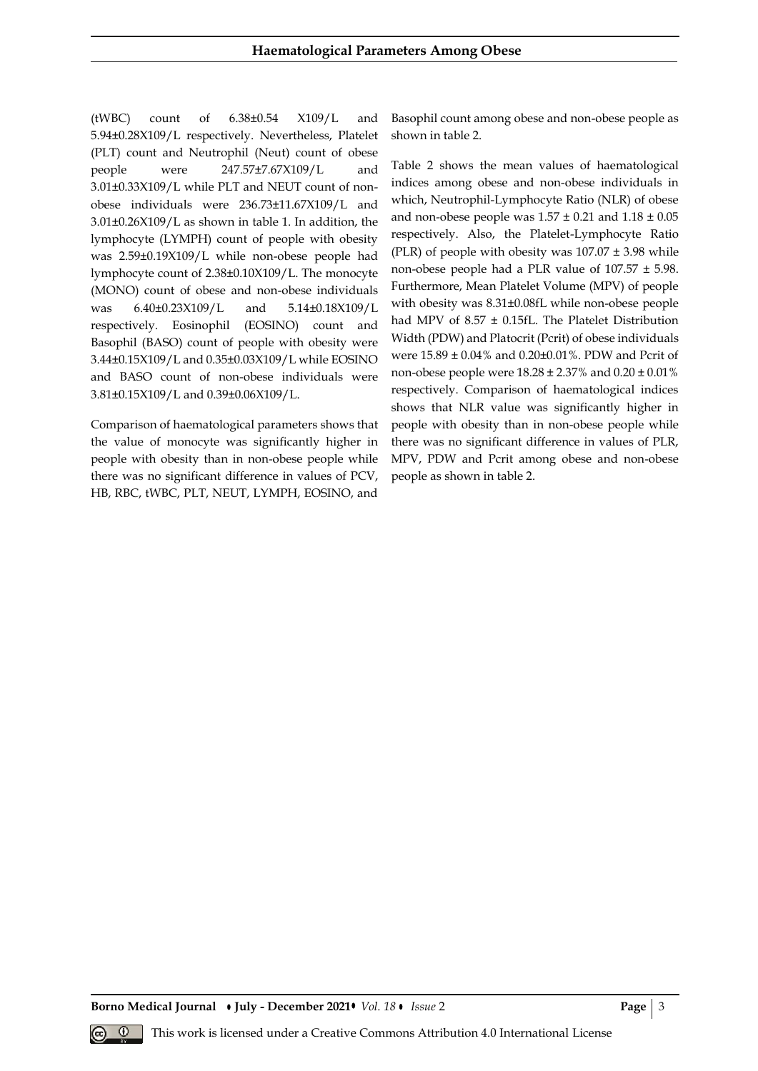(tWBC) count of 6.38±0.54 X109/L and 5.94±0.28X109/L respectively. Nevertheless, Platelet (PLT) count and Neutrophil (Neut) count of obese people were 247.57±7.67X109/L and 3.01±0.33X109/L while PLT and NEUT count of nonobese individuals were 236.73±11.67X109/L and 3.01±0.26X109/L as shown in table 1. In addition, the lymphocyte (LYMPH) count of people with obesity was 2.59±0.19X109/L while non-obese people had lymphocyte count of 2.38±0.10X109/L. The monocyte (MONO) count of obese and non-obese individuals was 6.40±0.23X109/L and 5.14±0.18X109/L respectively. Eosinophil (EOSINO) count and Basophil (BASO) count of people with obesity were 3.44±0.15X109/L and 0.35±0.03X109/L while EOSINO and BASO count of non-obese individuals were 3.81±0.15X109/L and 0.39±0.06X109/L.

Comparison of haematological parameters shows that the value of monocyte was significantly higher in people with obesity than in non-obese people while there was no significant difference in values of PCV, HB, RBC, tWBC, PLT, NEUT, LYMPH, EOSINO, and Basophil count among obese and non-obese people as shown in table 2.

Table 2 shows the mean values of haematological indices among obese and non-obese individuals in which, Neutrophil-Lymphocyte Ratio (NLR) of obese and non-obese people was  $1.57 \pm 0.21$  and  $1.18 \pm 0.05$ respectively. Also, the Platelet-Lymphocyte Ratio (PLR) of people with obesity was  $107.07 \pm 3.98$  while non-obese people had a PLR value of 107.57 ± 5.98. Furthermore, Mean Platelet Volume (MPV) of people with obesity was 8.31±0.08fL while non-obese people had MPV of 8.57 ± 0.15fL. The Platelet Distribution Width (PDW) and Platocrit (Pcrit) of obese individuals were 15.89 ± 0.04% and 0.20±0.01%. PDW and Pcrit of non-obese people were  $18.28 \pm 2.37\%$  and  $0.20 \pm 0.01\%$ respectively. Comparison of haematological indices shows that NLR value was significantly higher in people with obesity than in non-obese people while there was no significant difference in values of PLR, MPV, PDW and Pcrit among obese and non-obese people as shown in table 2.

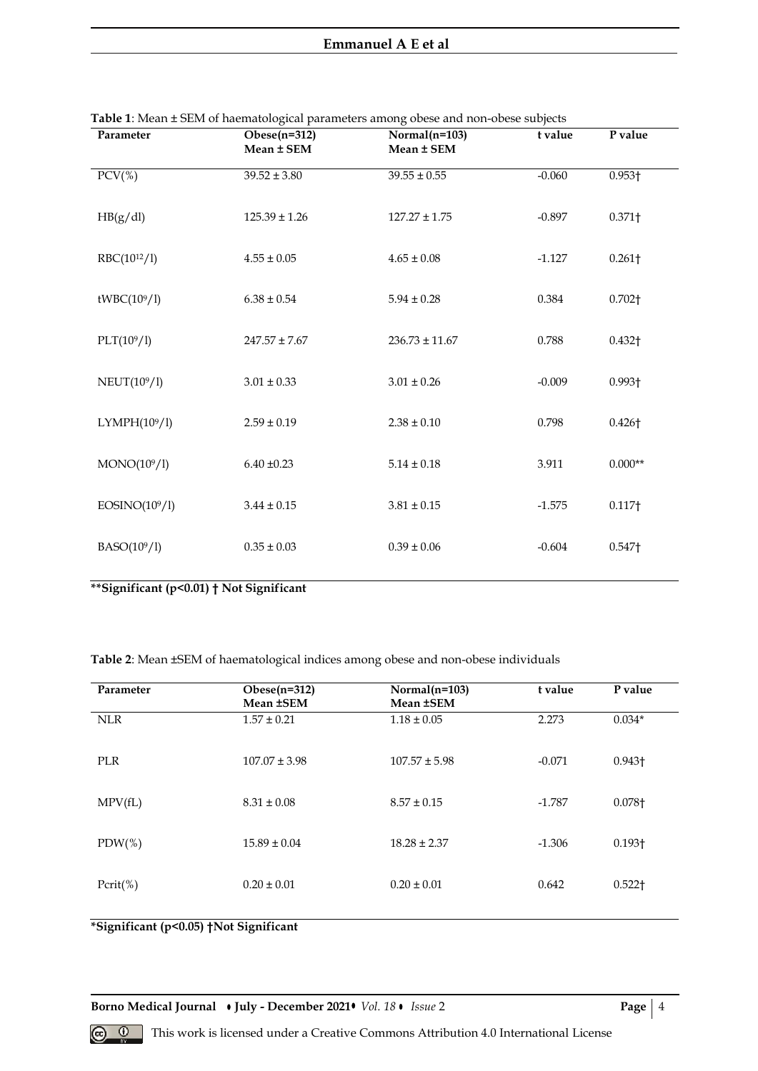| Parameter                | Obese $(n=312)$<br>Mean ± SEM | $Normal(n=103)$<br>Mean ± SEM | t value  | P value            |
|--------------------------|-------------------------------|-------------------------------|----------|--------------------|
| $PCV$ (%)                | $39.52 \pm 3.80$              | $39.55 \pm 0.55$              | $-0.060$ | $0.953\dagger$     |
| HB(g/dl)                 | $125.39 \pm 1.26$             | $127.27 \pm 1.75$             | $-0.897$ | $0.371\dagger$     |
| RBC(10 <sup>12</sup> /1) | $4.55 \pm 0.05$               | $4.65 \pm 0.08$               | $-1.127$ | $0.261\dagger$     |
| tWBC(109/1)              | $6.38 \pm 0.54$               | $5.94 \pm 0.28$               | 0.384    | 0.702 <sub>1</sub> |
| PLT(109/1)               | $247.57 \pm 7.67$             | $236.73 \pm 11.67$            | 0.788    | $0.432\dagger$     |
| NEUT(10 <sup>9</sup> /l) | $3.01 \pm 0.33$               | $3.01 \pm 0.26$               | $-0.009$ | $0.993\dagger$     |
| LYMPH(109/1)             | $2.59 \pm 0.19$               | $2.38 \pm 0.10$               | 0.798    | $0.426\dagger$     |
| MONO(10 <sup>9</sup> /l) | $6.40 \pm 0.23$               | $5.14 \pm 0.18$               | 3.911    | $0.000**$          |
| EOSINO(109/1)            | $3.44 \pm 0.15$               | $3.81 \pm 0.15$               | $-1.575$ | $0.117\dagger$     |
| $BASO(10^9/1)$           | $0.35 \pm 0.03$               | $0.39 \pm 0.06$               | $-0.604$ | 0.547 <sup>†</sup> |

| Table 1: Mean ± SEM of haematological parameters among obese and non-obese subjects |  |  |
|-------------------------------------------------------------------------------------|--|--|
|                                                                                     |  |  |

**\*\*Significant (p<0.01) † Not Significant**

**Table 2**: Mean ±SEM of haematological indices among obese and non-obese individuals

| Parameter   | Obese $(n=312)$<br>Mean ±SEM | $Normal(n=103)$<br>Mean ±SEM | t value  | P value        |
|-------------|------------------------------|------------------------------|----------|----------------|
| <b>NLR</b>  | $1.57 \pm 0.21$              | $1.18 \pm 0.05$              | 2.273    | $0.034*$       |
| <b>PLR</b>  | $107.07 \pm 3.98$            | $107.57 \pm 5.98$            | $-0.071$ | $0.943\dagger$ |
| MPV(fL)     | $8.31 \pm 0.08$              | $8.57 \pm 0.15$              | $-1.787$ | 0.078+         |
| $PDW(\%)$   | $15.89 \pm 0.04$             | $18.28 \pm 2.37$             | $-1.306$ | $0.193 +$      |
| $Pcrit(\%)$ | $0.20 \pm 0.01$              | $0.20 \pm 0.01$              | 0.642    | $0.522$ †      |

**\*Significant (p<0.05) †Not Significant**

**Borno Medical Journal • July - December 2021•** *Vol. 18* • *Issue* 2 **Page** | 4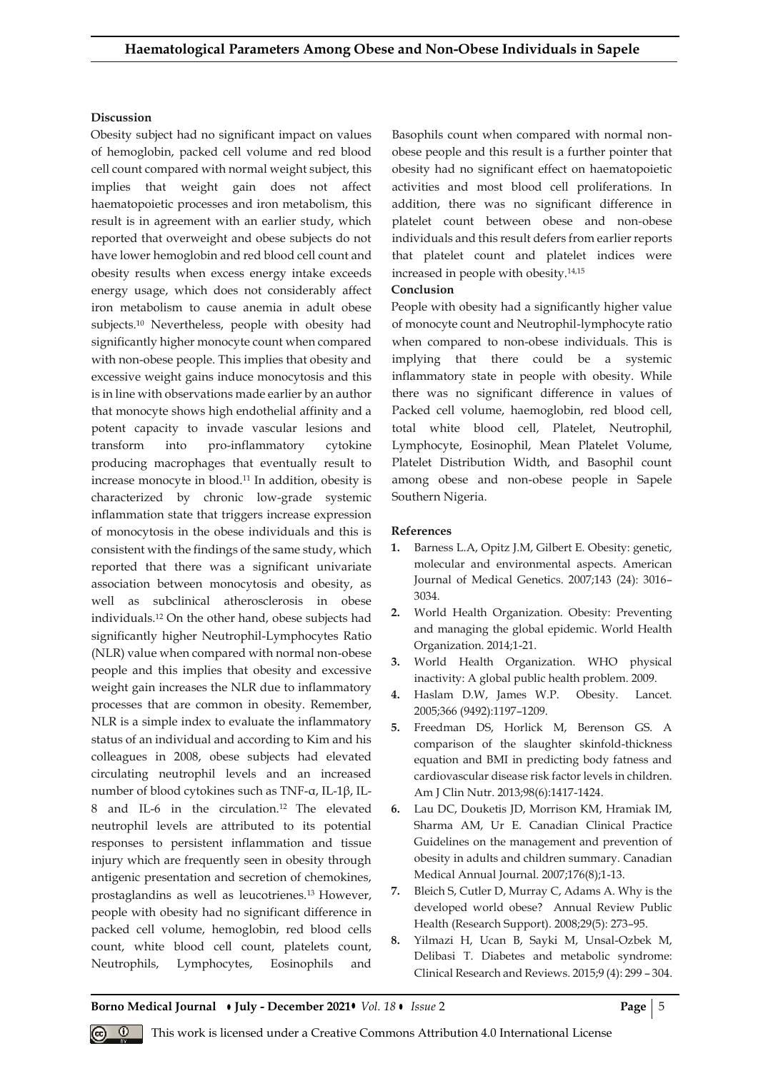## **Discussion**

Obesity subject had no significant impact on values of hemoglobin, packed cell volume and red blood cell count compared with normal weight subject, this implies that weight gain does not affect haematopoietic processes and iron metabolism, this result is in agreement with an earlier study, which reported that overweight and obese subjects do not have lower hemoglobin and red blood cell count and obesity results when excess energy intake exceeds energy usage, which does not considerably affect iron metabolism to cause anemia in adult obese subjects.<sup>10</sup> Nevertheless, people with obesity had significantly higher monocyte count when compared with non-obese people. This implies that obesity and excessive weight gains induce monocytosis and this is in line with observations made earlier by an author that monocyte shows high endothelial affinity and a potent capacity to invade vascular lesions and transform into pro-inflammatory cytokine producing macrophages that eventually result to increase monocyte in blood.<sup>11</sup> In addition, obesity is characterized by chronic low-grade systemic inflammation state that triggers increase expression of monocytosis in the obese individuals and this is consistent with the findings of the same study, which reported that there was a significant univariate association between monocytosis and obesity, as well as subclinical atherosclerosis in obese individuals.<sup>12</sup> On the other hand, obese subjects had significantly higher Neutrophil-Lymphocytes Ratio (NLR) value when compared with normal non-obese people and this implies that obesity and excessive weight gain increases the NLR due to inflammatory processes that are common in obesity. Remember, NLR is a simple index to evaluate the inflammatory status of an individual and according to Kim and his colleagues in 2008, obese subjects had elevated circulating neutrophil levels and an increased number of blood cytokines such as TNF-α, IL-1β, IL-8 and IL-6 in the circulation.<sup>12</sup> The elevated neutrophil levels are attributed to its potential responses to persistent inflammation and tissue injury which are frequently seen in obesity through antigenic presentation and secretion of chemokines, prostaglandins as well as leucotrienes.13 However, people with obesity had no significant difference in packed cell volume, hemoglobin, red blood cells count, white blood cell count, platelets count, Neutrophils, Lymphocytes, Eosinophils and

Basophils count when compared with normal nonobese people and this result is a further pointer that obesity had no significant effect on haematopoietic activities and most blood cell proliferations. In addition, there was no significant difference in platelet count between obese and non-obese individuals and this result defers from earlier reports that platelet count and platelet indices were increased in people with obesity.14,15

#### **Conclusion**

People with obesity had a significantly higher value of monocyte count and Neutrophil-lymphocyte ratio when compared to non-obese individuals. This is implying that there could be a systemic inflammatory state in people with obesity. While there was no significant difference in values of Packed cell volume, haemoglobin, red blood cell, total white blood cell, Platelet, Neutrophil, Lymphocyte, Eosinophil, Mean Platelet Volume, Platelet Distribution Width, and Basophil count among obese and non-obese people in Sapele Southern Nigeria.

#### **References**

- **1.** Barness L.A, Opitz J.M, Gilbert E. Obesity: genetic, molecular and environmental aspects. American Journal of Medical Genetics. 2007;143 (24): 3016– 3034.
- **2.** World Health Organization. Obesity: Preventing and managing the global epidemic. World Health Organization. 2014;1-21.
- **3.** World Health Organization. WHO physical inactivity: A global public health problem. 2009.
- **4.** Haslam D.W, James W.P. Obesity. Lancet. 2005;366 (9492):1197–1209.
- **5.** Freedman DS, Horlick M, Berenson GS. A comparison of the slaughter skinfold-thickness equation and BMI in predicting body fatness and cardiovascular disease risk factor levels in children. Am J Clin Nutr. 2013;98(6):1417-1424.
- **6.** Lau DC, Douketis JD, Morrison KM, Hramiak IM, Sharma AM, Ur E. Canadian Clinical Practice Guidelines on the management and prevention of obesity in adults and children summary. Canadian Medical Annual Journal. 2007;176(8);1-13.
- **7.** Bleich S, Cutler D, Murray C, Adams A. Why is the developed world obese? Annual Review Public Health (Research Support). 2008;29(5): 273–95.
- **8.** Yilmazi H, Ucan B, Sayki M, Unsal-Ozbek M, Delibasi T. Diabetes and metabolic syndrome: Clinical Research and Reviews. 2015;9 (4): 299 – 304.

**Borno Medical Journal • July - December 2021 •** *Vol.* 18 • *Issue* 2 **Page | 5** 

This work is licensed under a Creative Commons Attribution 4.0 International License